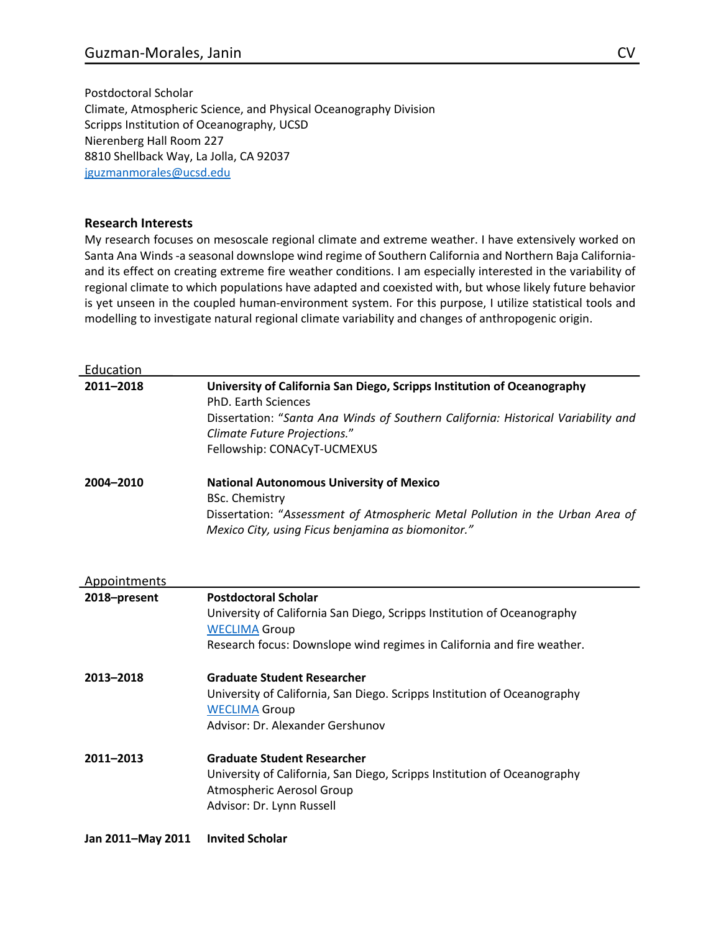Postdoctoral Scholar Climate, Atmospheric Science, and Physical Oceanography Division Scripps Institution of Oceanography, UCSD Nierenberg Hall Room 227 8810 Shellback Way, La Jolla, CA 92037 jguzmanmorales@ucsd.edu

## **Research Interests**

My research focuses on mesoscale regional climate and extreme weather. I have extensively worked on Santa Ana Winds -a seasonal downslope wind regime of Southern California and Northern Baja Californiaand its effect on creating extreme fire weather conditions. I am especially interested in the variability of regional climate to which populations have adapted and coexisted with, but whose likely future behavior is yet unseen in the coupled human-environment system. For this purpose, I utilize statistical tools and modelling to investigate natural regional climate variability and changes of anthropogenic origin.

| Education         |                                                                                                                                                                                                                                                           |
|-------------------|-----------------------------------------------------------------------------------------------------------------------------------------------------------------------------------------------------------------------------------------------------------|
| 2011-2018         | University of California San Diego, Scripps Institution of Oceanography<br><b>PhD. Earth Sciences</b><br>Dissertation: "Santa Ana Winds of Southern California: Historical Variability and<br>Climate Future Projections."<br>Fellowship: CONACyT-UCMEXUS |
| 2004-2010         | <b>National Autonomous University of Mexico</b><br><b>BSc. Chemistry</b><br>Dissertation: "Assessment of Atmospheric Metal Pollution in the Urban Area of<br>Mexico City, using Ficus benjamina as biomonitor."                                           |
| Appointments      |                                                                                                                                                                                                                                                           |
| 2018-present      | <b>Postdoctoral Scholar</b><br>University of California San Diego, Scripps Institution of Oceanography<br><b>WECLIMA Group</b><br>Research focus: Downslope wind regimes in California and fire weather.                                                  |
| 2013-2018         | <b>Graduate Student Researcher</b><br>University of California, San Diego. Scripps Institution of Oceanography<br><b>WECLIMA Group</b><br>Advisor: Dr. Alexander Gershunov                                                                                |
| 2011-2013         | <b>Graduate Student Researcher</b><br>University of California, San Diego, Scripps Institution of Oceanography<br>Atmospheric Aerosol Group<br>Advisor: Dr. Lynn Russell                                                                                  |
| Jan 2011-May 2011 | <b>Invited Scholar</b>                                                                                                                                                                                                                                    |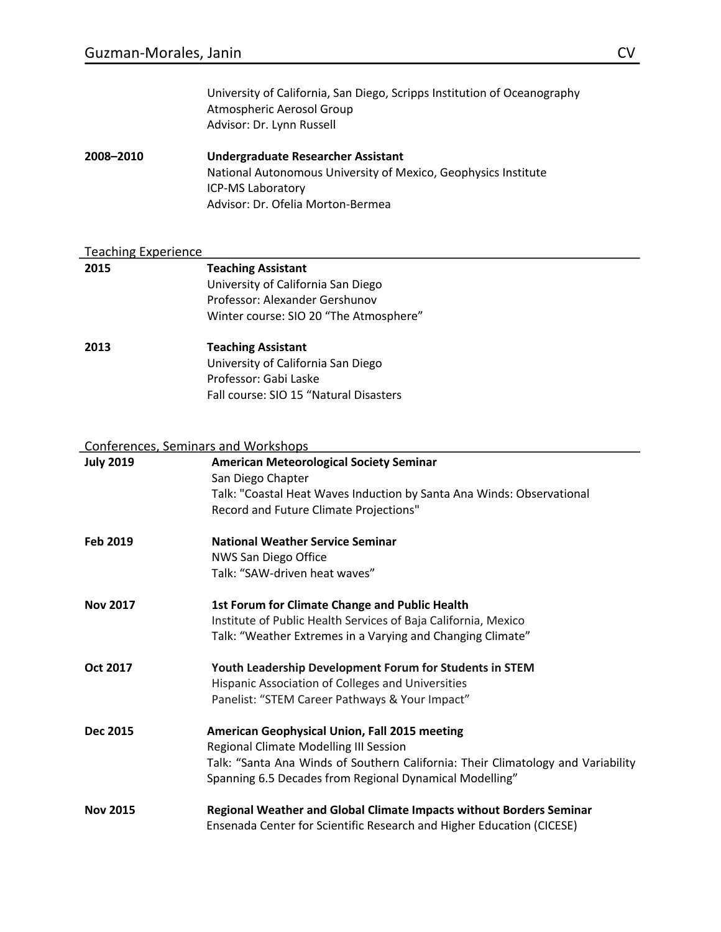| University of California, San Diego, Scripps Institution of Oceanography |
|--------------------------------------------------------------------------|
| Atmospheric Aerosol Group                                                |
| Advisor: Dr. Lynn Russell                                                |

**2008–2010 Undergraduate Researcher Assistant** National Autonomous University of Mexico, Geophysics Institute ICP-MS Laboratory Advisor: Dr. Ofelia Morton-Bermea

## Teaching Experience

| 2015 | <b>Teaching Assistant</b>              |
|------|----------------------------------------|
|      | University of California San Diego     |
|      | Professor: Alexander Gershunov         |
|      | Winter course: SIO 20 "The Atmosphere" |
| 2013 | <b>Teaching Assistant</b>              |
|      | University of California San Diego     |
|      | Professor: Gabi Laske                  |
|      | Fall course: SIO 15 "Natural Disasters |
|      |                                        |

#### Conferences, Seminars and Workshops

|                  | <u>senner entece, senningre and monteps</u>                                      |
|------------------|----------------------------------------------------------------------------------|
| <b>July 2019</b> | <b>American Meteorological Society Seminar</b>                                   |
|                  | San Diego Chapter                                                                |
|                  | Talk: "Coastal Heat Waves Induction by Santa Ana Winds: Observational            |
|                  | Record and Future Climate Projections"                                           |
| Feb 2019         | <b>National Weather Service Seminar</b>                                          |
|                  | NWS San Diego Office                                                             |
|                  | Talk: "SAW-driven heat waves"                                                    |
| <b>Nov 2017</b>  | 1st Forum for Climate Change and Public Health                                   |
|                  | Institute of Public Health Services of Baja California, Mexico                   |
|                  | Talk: "Weather Extremes in a Varying and Changing Climate"                       |
| Oct 2017         | Youth Leadership Development Forum for Students in STEM                          |
|                  | Hispanic Association of Colleges and Universities                                |
|                  | Panelist: "STEM Career Pathways & Your Impact"                                   |
| <b>Dec 2015</b>  | American Geophysical Union, Fall 2015 meeting                                    |
|                  | Regional Climate Modelling III Session                                           |
|                  | Talk: "Santa Ana Winds of Southern California: Their Climatology and Variability |
|                  | Spanning 6.5 Decades from Regional Dynamical Modelling"                          |
| <b>Nov 2015</b>  | Regional Weather and Global Climate Impacts without Borders Seminar              |
|                  | Ensenada Center for Scientific Research and Higher Education (CICESE)            |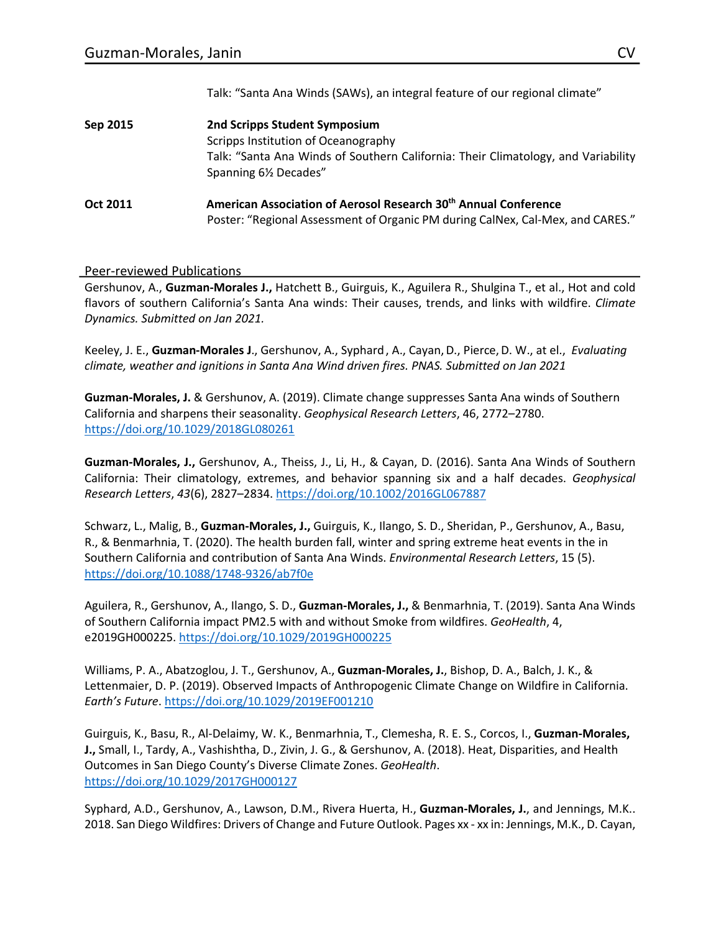Talk: "Santa Ana Winds (SAWs), an integral feature of our regional climate"

| Sep 2015 | 2nd Scripps Student Symposium                                                                                                                                 |
|----------|---------------------------------------------------------------------------------------------------------------------------------------------------------------|
|          | Scripps Institution of Oceanography                                                                                                                           |
|          | Talk: "Santa Ana Winds of Southern California: Their Climatology, and Variability<br>Spanning 61/2 Decades"                                                   |
| Oct 2011 | American Association of Aerosol Research 30 <sup>th</sup> Annual Conference<br>Poster: "Regional Assessment of Organic PM during CalNex, Cal-Mex, and CARES." |

### Peer-reviewed Publications

Gershunov, A., **Guzman-Morales J.,** Hatchett B., Guirguis, K., Aguilera R., Shulgina T., et al., Hot and cold flavors of southern California's Santa Ana winds: Their causes, trends, and links with wildfire. *Climate Dynamics. Submitted on Jan 2021.*

Keeley, J. E., **Guzman-Morales J**., Gershunov, A., Syphard, A., Cayan,D., Pierce,D. W., at el., *Evaluating climate, weather and ignitions in Santa Ana Wind driven fires. PNAS. Submitted on Jan 2021*

**Guzman-Morales, J.** & Gershunov, A. (2019). Climate change suppresses Santa Ana winds of Southern California and sharpens their seasonality. *Geophysical Research Letters*, 46, 2772–2780. https://doi.org/10.1029/2018GL080261

**Guzman-Morales, J.,** Gershunov, A., Theiss, J., Li, H., & Cayan, D. (2016). Santa Ana Winds of Southern California: Their climatology, extremes, and behavior spanning six and a half decades. *Geophysical Research Letters*, *43*(6), 2827–2834. https://doi.org/10.1002/2016GL067887

Schwarz, L., Malig, B., **Guzman-Morales, J.,** Guirguis, K., Ilango, S. D., Sheridan, P., Gershunov, A., Basu, R., & Benmarhnia, T. (2020). The health burden fall, winter and spring extreme heat events in the in Southern California and contribution of Santa Ana Winds. *Environmental Research Letters*, 15 (5). https://doi.org/10.1088/1748-9326/ab7f0e

Aguilera, R., Gershunov, A., Ilango, S. D., **Guzman-Morales, J.,** & Benmarhnia, T. (2019). Santa Ana Winds of Southern California impact PM2.5 with and without Smoke from wildfires. *GeoHealth*, 4, e2019GH000225. https://doi.org/10.1029/2019GH000225

Williams, P. A., Abatzoglou, J. T., Gershunov, A., **Guzman-Morales, J.**, Bishop, D. A., Balch, J. K., & Lettenmaier, D. P. (2019). Observed Impacts of Anthropogenic Climate Change on Wildfire in California. *Earth's Future*. https://doi.org/10.1029/2019EF001210

Guirguis, K., Basu, R., Al-Delaimy, W. K., Benmarhnia, T., Clemesha, R. E. S., Corcos, I., **Guzman-Morales, J.,** Small, I., Tardy, A., Vashishtha, D., Zivin, J. G., & Gershunov, A. (2018). Heat, Disparities, and Health Outcomes in San Diego County's Diverse Climate Zones. *GeoHealth*. https://doi.org/10.1029/2017GH000127

Syphard, A.D., Gershunov, A., Lawson, D.M., Rivera Huerta, H., **Guzman-Morales, J.**, and Jennings, M.K.. 2018. San Diego Wildfires: Drivers of Change and Future Outlook. Pages xx - xx in: Jennings, M.K., D. Cayan,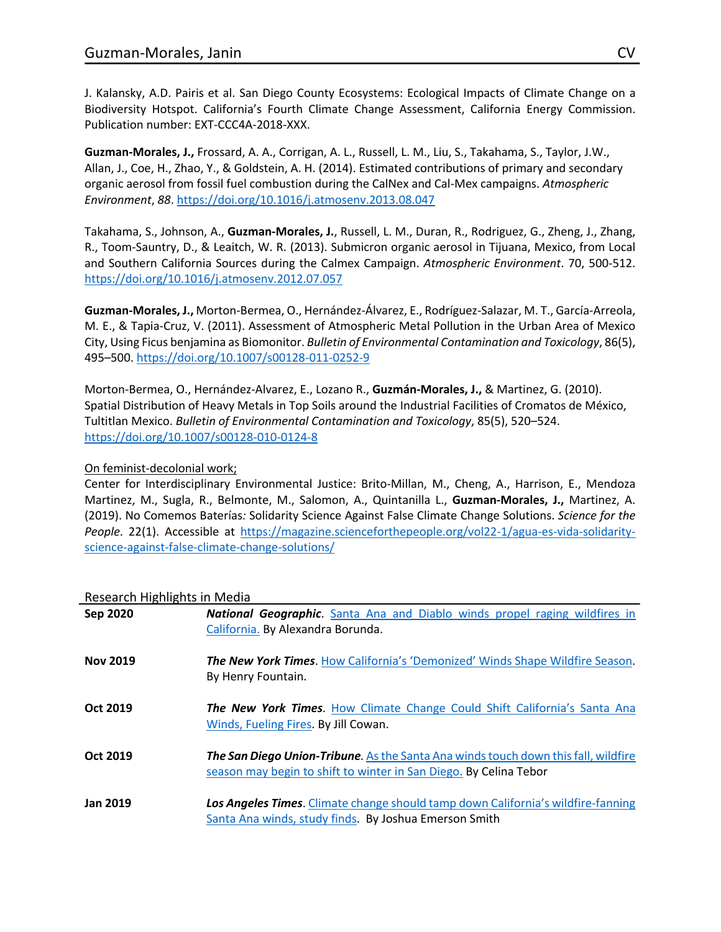J. Kalansky, A.D. Pairis et al. San Diego County Ecosystems: Ecological Impacts of Climate Change on a Biodiversity Hotspot. California's Fourth Climate Change Assessment, California Energy Commission. Publication number: EXT-CCC4A-2018-XXX.

**Guzman-Morales, J.,** Frossard, A. A., Corrigan, A. L., Russell, L. M., Liu, S., Takahama, S., Taylor, J.W., Allan, J., Coe, H., Zhao, Y., & Goldstein, A. H. (2014). Estimated contributions of primary and secondary organic aerosol from fossil fuel combustion during the CalNex and Cal-Mex campaigns. *Atmospheric Environment*, *88*. https://doi.org/10.1016/j.atmosenv.2013.08.047

Takahama, S., Johnson, A., **Guzman-Morales, J.**, Russell, L. M., Duran, R., Rodriguez, G., Zheng, J., Zhang, R., Toom-Sauntry, D., & Leaitch, W. R. (2013). Submicron organic aerosol in Tijuana, Mexico, from Local and Southern California Sources during the Calmex Campaign. *Atmospheric Environment*. 70, 500-512. https://doi.org/10.1016/j.atmosenv.2012.07.057

**Guzman-Morales, J.,** Morton-Bermea, O., Hernández-Álvarez, E., Rodríguez-Salazar, M. T., García-Arreola, M. E., & Tapia-Cruz, V. (2011). Assessment of Atmospheric Metal Pollution in the Urban Area of Mexico City, Using Ficus benjamina as Biomonitor. *Bulletin of Environmental Contamination and Toxicology*, 86(5), 495–500. https://doi.org/10.1007/s00128-011-0252-9

Morton-Bermea, O., Hernández-Alvarez, E., Lozano R., **Guzmán-Morales, J.,** & Martinez, G. (2010). Spatial Distribution of Heavy Metals in Top Soils around the Industrial Facilities of Cromatos de México, Tultitlan Mexico. *Bulletin of Environmental Contamination and Toxicology*, 85(5), 520–524. https://doi.org/10.1007/s00128-010-0124-8

## On feminist-decolonial work;

Center for Interdisciplinary Environmental Justice: Brito-Millan, M., Cheng, A., Harrison, E., Mendoza Martinez, M., Sugla, R., Belmonte, M., Salomon, A., Quintanilla L., **Guzman-Morales, J.,** Martinez, A. (2019). No Comemos Baterías*:* Solidarity Science Against False Climate Change Solutions. *Science for the People*. 22(1). Accessible at https://magazine.scienceforthepeople.org/vol22-1/agua-es-vida-solidarityscience-against-false-climate-change-solutions/

## Research Highlights in Media

| Sep 2020        | <b>National Geographic.</b> Santa Ana and Diablo winds propel raging wildfires in<br>California. By Alexandra Borunda.                                         |
|-----------------|----------------------------------------------------------------------------------------------------------------------------------------------------------------|
| <b>Nov 2019</b> | <b>The New York Times.</b> How California's 'Demonized' Winds Shape Wildfire Season.<br>By Henry Fountain.                                                     |
| Oct 2019        | <b>The New York Times.</b> How Climate Change Could Shift California's Santa Ana<br>Winds, Fueling Fires. By Jill Cowan.                                       |
| Oct 2019        | <b>The San Diego Union-Tribune.</b> As the Santa Ana winds touch down this fall, wildfire<br>season may begin to shift to winter in San Diego. By Celina Tebor |
| <b>Jan 2019</b> | Los Angeles Times. Climate change should tamp down California's wildfire-fanning<br>Santa Ana winds, study finds. By Joshua Emerson Smith                      |